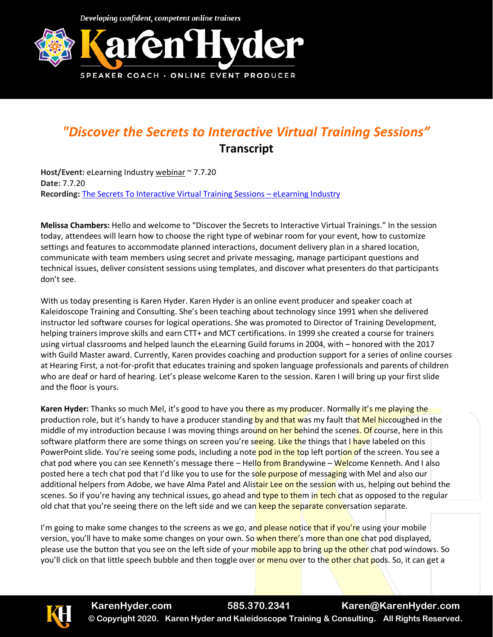

## *"Discover the Secrets to Interactive Virtual Training Sessions"* **Transcript**

**Host/Event:** eLearning Industry webinar ~ 7.7.20 **Date:** 7.7.20 **Recording:** [The Secrets To Interactive Virtual Training Sessions](https://elearningindustry.com/webinars/interactive-virtual-training-sessions) – eLearning Industry

**Melissa Chambers:** Hello and welcome to "Discover the Secrets to Interactive Virtual Trainings." In the session today, attendees will learn how to choose the right type of webinar room for your event, how to customize settings and features to accommodate planned interactions, document delivery plan in a shared location, communicate with team members using secret and private messaging, manage participant questions and technical issues, deliver consistent sessions using templates, and discover what presenters do that participants don't see.

With us today presenting is Karen Hyder. Karen Hyder is an online event producer and speaker coach at Kaleidoscope Training and Consulting. She's been teaching about technology since 1991 when she delivered instructor led software courses for logical operations. She was promoted to Director of Training Development, helping trainers improve skills and earn CTT+ and MCT certifications. In 1999 she created a course for trainers using virtual classrooms and helped launch the eLearning Guild forums in 2004, with – honored with the 2017 with Guild Master award. Currently, Karen provides coaching and production support for a series of online courses at Hearing First, a not-for-profit that educates training and spoken language professionals and parents of children who are deaf or hard of hearing. Let's please welcome Karen to the session. Karen I will bring up your first slide and the floor is yours.

**Karen Hyder:** Thanks so much Mel, it's good to have you there as my producer. Normally it's me playing the production role, but it's handy to have a producer standing by and that was my fault that Mel hiccoughed in the middle of my introduction because I was moving things around on her behind the scenes. Of course, here in this software platform there are some things on screen you're seeing. Like the things that I have labeled on this PowerPoint slide. You're seeing some pods, including a note pod in the top left portion of the screen. You see a chat pod where you can see Kenneth's message there – Hello from Brandywine – Welcome Kenneth. And I also posted here a tech chat pod that I'd like you to use for the sole purpose of messaging with Mel and also our additional helpers from Adobe, we have Alma Patel and Alistair Lee on the session with us, helping out behind the scenes. So if you're having any technical issues, go ahead and type to them in tech chat as opposed to the regular old chat that you're seeing there on the left side and we can keep the separate conversation separate.

I'm going to make some changes to the screens as we go, and please notice that if you're using your mobile version, you'll have to make some changes on your own. So when there's more than one chat pod displayed, please use the button that you see on the left side of your mobile app to bring up the other chat pod windows. So you'll click on that little speech bubble and then toggle over or menu over to the other chat pods. So, it can get a

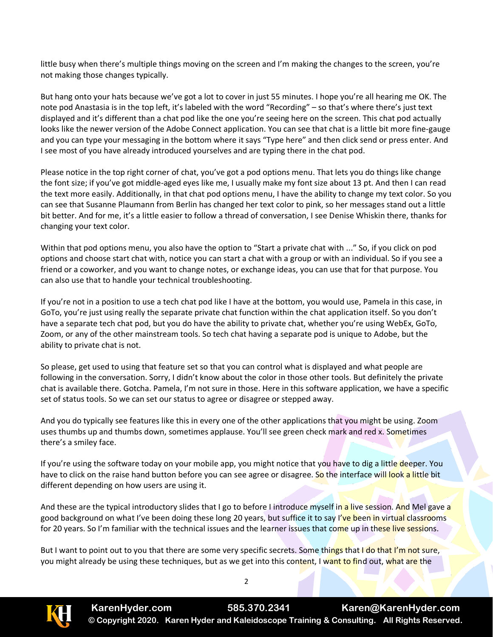little busy when there's multiple things moving on the screen and I'm making the changes to the screen, you're not making those changes typically.

But hang onto your hats because we've got a lot to cover in just 55 minutes. I hope you're all hearing me OK. The note pod Anastasia is in the top left, it's labeled with the word "Recording" – so that's where there's just text displayed and it's different than a chat pod like the one you're seeing here on the screen. This chat pod actually looks like the newer version of the Adobe Connect application. You can see that chat is a little bit more fine-gauge and you can type your messaging in the bottom where it says "Type here" and then click send or press enter. And I see most of you have already introduced yourselves and are typing there in the chat pod.

Please notice in the top right corner of chat, you've got a pod options menu. That lets you do things like change the font size; if you've got middle-aged eyes like me, I usually make my font size about 13 pt. And then I can read the text more easily. Additionally, in that chat pod options menu, I have the ability to change my text color. So you can see that Susanne Plaumann from Berlin has changed her text color to pink, so her messages stand out a little bit better. And for me, it's a little easier to follow a thread of conversation, I see Denise Whiskin there, thanks for changing your text color.

Within that pod options menu, you also have the option to "Start a private chat with ..." So, if you click on pod options and choose start chat with, notice you can start a chat with a group or with an individual. So if you see a friend or a coworker, and you want to change notes, or exchange ideas, you can use that for that purpose. You can also use that to handle your technical troubleshooting.

If you're not in a position to use a tech chat pod like I have at the bottom, you would use, Pamela in this case, in GoTo, you're just using really the separate private chat function within the chat application itself. So you don't have a separate tech chat pod, but you do have the ability to private chat, whether you're using WebEx, GoTo, Zoom, or any of the other mainstream tools. So tech chat having a separate pod is unique to Adobe, but the ability to private chat is not.

So please, get used to using that feature set so that you can control what is displayed and what people are following in the conversation. Sorry, I didn't know about the color in those other tools. But definitely the private chat is available there. Gotcha. Pamela, I'm not sure in those. Here in this software application, we have a specific set of status tools. So we can set our status to agree or disagree or stepped away.

And you do typically see features like this in every one of the other applications that you might be using. Zoom uses thumbs up and thumbs down, sometimes applause. You'll see green check mark and red x. Sometimes there's a smiley face.

If you're using the software today on your mobile app, you might notice that you have to dig a little deeper. You have to click on the raise hand button before you can see agree or disagree. So the interface will look a little bit different depending on how users are using it.

And these are the typical introductory slides that I go to before I introduce myself in a live session. And Mel gave a good background on what I've been doing these long 20 years, but suffice it to say I've been in virtual classrooms for 20 years. So I'm familiar with the technical issues and the learner issues that come up in these live sessions.

But I want to point out to you that there are some very specific secrets. Some things that I do that I'm not sure, you might already be using these techniques, but as we get into this content, I want to find out, what are the

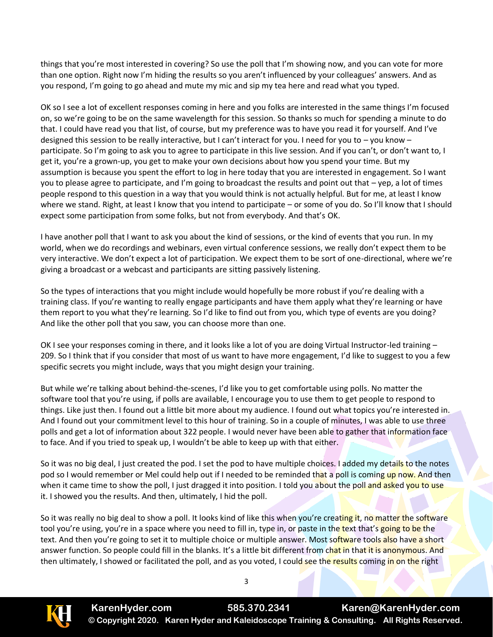things that you're most interested in covering? So use the poll that I'm showing now, and you can vote for more than one option. Right now I'm hiding the results so you aren't influenced by your colleagues' answers. And as you respond, I'm going to go ahead and mute my mic and sip my tea here and read what you typed.

OK so I see a lot of excellent responses coming in here and you folks are interested in the same things I'm focused on, so we're going to be on the same wavelength for this session. So thanks so much for spending a minute to do that. I could have read you that list, of course, but my preference was to have you read it for yourself. And I've designed this session to be really interactive, but I can't interact for you. I need for you to – you know – participate. So I'm going to ask you to agree to participate in this live session. And if you can't, or don't want to, I get it, you're a grown-up, you get to make your own decisions about how you spend your time. But my assumption is because you spent the effort to log in here today that you are interested in engagement. So I want you to please agree to participate, and I'm going to broadcast the results and point out that – yep, a lot of times people respond to this question in a way that you would think is not actually helpful. But for me, at least I know where we stand. Right, at least I know that you intend to participate – or some of you do. So I'll know that I should expect some participation from some folks, but not from everybody. And that's OK.

I have another poll that I want to ask you about the kind of sessions, or the kind of events that you run. In my world, when we do recordings and webinars, even virtual conference sessions, we really don't expect them to be very interactive. We don't expect a lot of participation. We expect them to be sort of one-directional, where we're giving a broadcast or a webcast and participants are sitting passively listening.

So the types of interactions that you might include would hopefully be more robust if you're dealing with a training class. If you're wanting to really engage participants and have them apply what they're learning or have them report to you what they're learning. So I'd like to find out from you, which type of events are you doing? And like the other poll that you saw, you can choose more than one.

OK I see your responses coming in there, and it looks like a lot of you are doing Virtual Instructor-led training – 209. So I think that if you consider that most of us want to have more engagement, I'd like to suggest to you a few specific secrets you might include, ways that you might design your training.

But while we're talking about behind-the-scenes, I'd like you to get comfortable using polls. No matter the software tool that you're using, if polls are available, I encourage you to use them to get people to respond to things. Like just then. I found out a little bit more about my audience. I found out what topics you're interested in. And I found out your commitment level to this hour of training. So in a couple of minutes, I was able to use three polls and get a lot of information about 322 people. I would never have been able to gather that information face to face. And if you tried to speak up, I wouldn't be able to keep up with that either.

So it was no big deal, I just created the pod. I set the pod to have multiple choices. I added my details to the notes pod so I would remember or Mel could help out if I needed to be reminded that a poll is coming up now. And then when it came time to show the poll, I just dragged it into position. I told you about the poll and asked you to use it. I showed you the results. And then, ultimately, I hid the poll.

So it was really no big deal to show a poll. It looks kind of like this when you're creating it, no matter the software tool you're using, you're in a space where you need to fill in, type in, or paste in the text that's going to be the text. And then you're going to set it to multiple choice or multiple answer. Most software tools also have a short answer function. So people could fill in the blanks. It's a little bit different from chat in that it is anonymous. And then ultimately, I showed or facilitated the poll, and as you voted, I could see the results coming in on the right

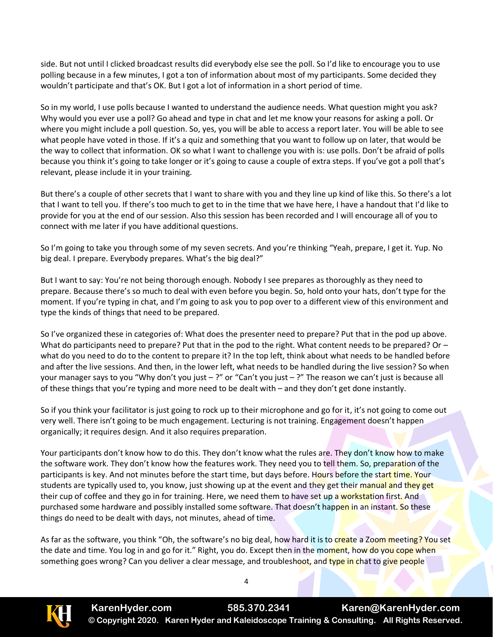side. But not until I clicked broadcast results did everybody else see the poll. So I'd like to encourage you to use polling because in a few minutes, I got a ton of information about most of my participants. Some decided they wouldn't participate and that's OK. But I got a lot of information in a short period of time.

So in my world, I use polls because I wanted to understand the audience needs. What question might you ask? Why would you ever use a poll? Go ahead and type in chat and let me know your reasons for asking a poll. Or where you might include a poll question. So, yes, you will be able to access a report later. You will be able to see what people have voted in those. If it's a quiz and something that you want to follow up on later, that would be the way to collect that information. OK so what I want to challenge you with is: use polls. Don't be afraid of polls because you think it's going to take longer or it's going to cause a couple of extra steps. If you've got a poll that's relevant, please include it in your training.

But there's a couple of other secrets that I want to share with you and they line up kind of like this. So there's a lot that I want to tell you. If there's too much to get to in the time that we have here, I have a handout that I'd like to provide for you at the end of our session. Also this session has been recorded and I will encourage all of you to connect with me later if you have additional questions.

So I'm going to take you through some of my seven secrets. And you're thinking "Yeah, prepare, I get it. Yup. No big deal. I prepare. Everybody prepares. What's the big deal?"

But I want to say: You're not being thorough enough. Nobody I see prepares as thoroughly as they need to prepare. Because there's so much to deal with even before you begin. So, hold onto your hats, don't type for the moment. If you're typing in chat, and I'm going to ask you to pop over to a different view of this environment and type the kinds of things that need to be prepared.

So I've organized these in categories of: What does the presenter need to prepare? Put that in the pod up above. What do participants need to prepare? Put that in the pod to the right. What content needs to be prepared? Or – what do you need to do to the content to prepare it? In the top left, think about what needs to be handled before and after the live sessions. And then, in the lower left, what needs to be handled during the live session? So when your manager says to you "Why don't you just – ?" or "Can't you just – ?" The reason we can't just is because all of these things that you're typing and more need to be dealt with – and they don't get done instantly.

So if you think your facilitator is just going to rock up to their microphone and go for it, it's not going to come out very well. There isn't going to be much engagement. Lecturing is not training. Engagement doesn't happen organically; it requires design. And it also requires preparation.

Your participants don't know how to do this. They don't know what the rules are. They don't know how to make the software work. They don't know how the features work. They need you to tell them. So, preparation of the participants is key. And not minutes before the start time, but days before. Hours before the start time. Your students are typically used to, you know, just showing up at the event and they get their manual and they get their cup of coffee and they go in for training. Here, we need them to have set up a workstation first. And purchased some hardware and possibly installed some software. That doesn't happen in an instant. So these things do need to be dealt with days, not minutes, ahead of time.

As far as the software, you think "Oh, the software's no big deal, how hard it is to create a Zoom meeting? You set the date and time. You log in and go for it." Right, you do. Except then in the moment, how do you cope when something goes wrong? Can you deliver a clear message, and troubleshoot, and type in chat to give people

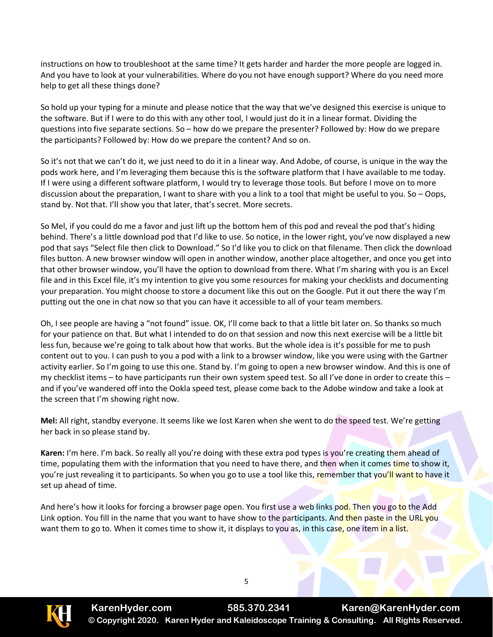instructions on how to troubleshoot at the same time? It gets harder and harder the more people are logged in. And you have to look at your vulnerabilities. Where do you not have enough support? Where do you need more help to get all these things done?

So hold up your typing for a minute and please notice that the way that we've designed this exercise is unique to the software. But if I were to do this with any other tool, I would just do it in a linear format. Dividing the questions into five separate sections. So – how do we prepare the presenter? Followed by: How do we prepare the participants? Followed by: How do we prepare the content? And so on.

So it's not that we can't do it, we just need to do it in a linear way. And Adobe, of course, is unique in the way the pods work here, and I'm leveraging them because this is the software platform that I have available to me today. If I were using a different software platform, I would try to leverage those tools. But before I move on to more discussion about the preparation, I want to share with you a link to a tool that might be useful to you. So – Oops, stand by. Not that. I'll show you that later, that's secret. More secrets.

So Mel, if you could do me a favor and just lift up the bottom hem of this pod and reveal the pod that's hiding behind. There's a little download pod that I'd like to use. So notice, in the lower right, you've now displayed a new pod that says "Select file then click to Download." So I'd like you to click on that filename. Then click the download files button. A new browser window will open in another window, another place altogether, and once you get into that other browser window, you'll have the option to download from there. What I'm sharing with you is an Excel file and in this Excel file, it's my intention to give you some resources for making your checklists and documenting your preparation. You might choose to store a document like this out on the Google. Put it out there the way I'm putting out the one in chat now so that you can have it accessible to all of your team members.

Oh, I see people are having a "not found" issue. OK, I'll come back to that a little bit later on. So thanks so much for your patience on that. But what I intended to do on that session and now this next exercise will be a little bit less fun, because we're going to talk about how that works. But the whole idea is it's possible for me to push content out to you. I can push to you a pod with a link to a browser window, like you were using with the Gartner activity earlier. So I'm going to use this one. Stand by. I'm going to open a new browser window. And this is one of my checklist items – to have participants run their own system speed test. So all I've done in order to create this – and if you've wandered off into the Ookla speed test, please come back to the Adobe window and take a look at the screen that I'm showing right now.

**Mel:** All right, standby everyone. It seems like we lost Karen when she went to do the speed test. We're getting her back in so please stand by.

**Karen:** I'm here. I'm back. So really all you're doing with these extra pod types is you're creating them ahead of time, populating them with the information that you need to have there, and then when it comes time to show it, you're just revealing it to participants. So when you go to use a tool like this, remember that you'll want to have it set up ahead of time.

And here's how it looks for forcing a browser page open. You first use a web links pod. Then you go to the Add Link option. You fill in the name that you want to have show to the participants. And then paste in the URL you want them to go to. When it comes time to show it, it displays to you as, in this case, one item in a list.

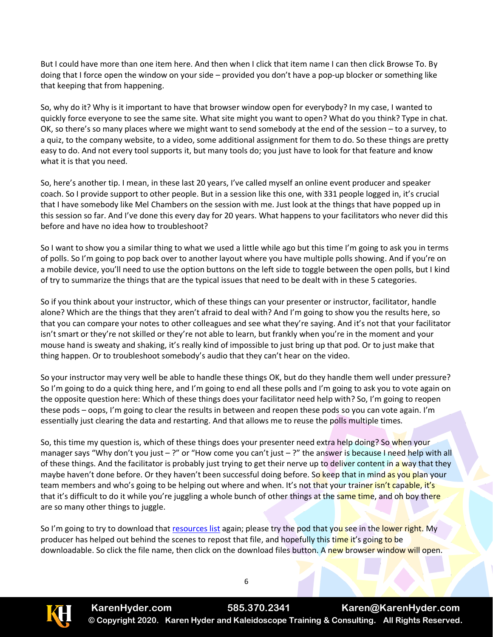But I could have more than one item here. And then when I click that item name I can then click Browse To. By doing that I force open the window on your side – provided you don't have a pop-up blocker or something like that keeping that from happening.

So, why do it? Why is it important to have that browser window open for everybody? In my case, I wanted to quickly force everyone to see the same site. What site might you want to open? What do you think? Type in chat. OK, so there's so many places where we might want to send somebody at the end of the session – to a survey, to a quiz, to the company website, to a video, some additional assignment for them to do. So these things are pretty easy to do. And not every tool supports it, but many tools do; you just have to look for that feature and know what it is that you need.

So, here's another tip. I mean, in these last 20 years, I've called myself an online event producer and speaker coach. So I provide support to other people. But in a session like this one, with 331 people logged in, it's crucial that I have somebody like Mel Chambers on the session with me. Just look at the things that have popped up in this session so far. And I've done this every day for 20 years. What happens to your facilitators who never did this before and have no idea how to troubleshoot?

So I want to show you a similar thing to what we used a little while ago but this time I'm going to ask you in terms of polls. So I'm going to pop back over to another layout where you have multiple polls showing. And if you're on a mobile device, you'll need to use the option buttons on the left side to toggle between the open polls, but I kind of try to summarize the things that are the typical issues that need to be dealt with in these 5 categories.

So if you think about your instructor, which of these things can your presenter or instructor, facilitator, handle alone? Which are the things that they aren't afraid to deal with? And I'm going to show you the results here, so that you can compare your notes to other colleagues and see what they're saying. And it's not that your facilitator isn't smart or they're not skilled or they're not able to learn, but frankly when you're in the moment and your mouse hand is sweaty and shaking, it's really kind of impossible to just bring up that pod. Or to just make that thing happen. Or to troubleshoot somebody's audio that they can't hear on the video.

So your instructor may very well be able to handle these things OK, but do they handle them well under pressure? So I'm going to do a quick thing here, and I'm going to end all these polls and I'm going to ask you to vote again on the opposite question here: Which of these things does your facilitator need help with? So, I'm going to reopen these pods – oops, I'm going to clear the results in between and reopen these pods so you can vote again. I'm essentially just clearing the data and restarting. And that allows me to reuse the polls multiple times.

So, this time my question is, which of these things does your presenter need extra help doing? So when your manager says "Why don't you just – ?" or "How come you can't just – ?" the answer is because I need help with all of these things. And the facilitator is probably just trying to get their nerve up to deliver content in a way that they maybe haven't done before. Or they haven't been successful doing before. So keep that in mind as you plan your team members and who's going to be helping out where and when. It's not that your trainer isn't capable, it's that it's difficult to do it while you're juggling a whole bunch of other things at the same time, and oh boy there are so many other things to juggle.

So I'm going to try to download that [resources list](file:///C:/CC%20from%20HP/Ericson%20Bus%20Comm/Clients%20Current/Kaleidoscope/Transcripts/Hyder%20Checklist%20for%20Successful%20Virtual%20Online%20Sessions.xlsx) again; please try the pod that you see in the lower right. My producer has helped out behind the scenes to repost that file, and hopefully this time it's going to be downloadable. So click the file name, then click on the download files button. A new browser window will open.

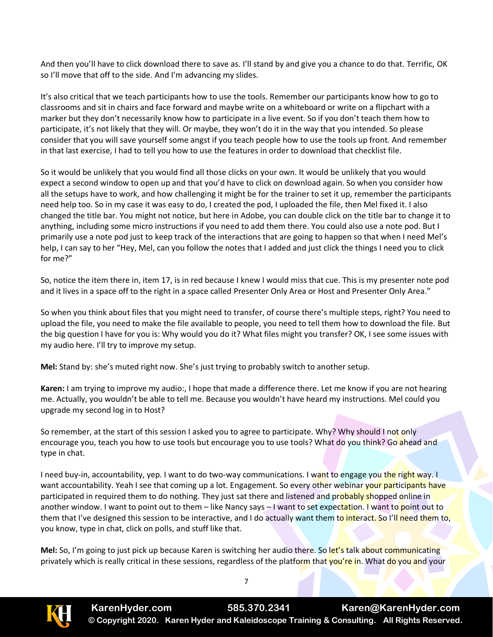And then you'll have to click download there to save as. I'll stand by and give you a chance to do that. Terrific, OK so I'll move that off to the side. And I'm advancing my slides.

It's also critical that we teach participants how to use the tools. Remember our participants know how to go to classrooms and sit in chairs and face forward and maybe write on a whiteboard or write on a flipchart with a marker but they don't necessarily know how to participate in a live event. So if you don't teach them how to participate, it's not likely that they will. Or maybe, they won't do it in the way that you intended. So please consider that you will save yourself some angst if you teach people how to use the tools up front. And remember in that last exercise, I had to tell you how to use the features in order to download that checklist file.

So it would be unlikely that you would find all those clicks on your own. It would be unlikely that you would expect a second window to open up and that you'd have to click on download again. So when you consider how all the setups have to work, and how challenging it might be for the trainer to set it up, remember the participants need help too. So in my case it was easy to do, I created the pod, I uploaded the file, then Mel fixed it. I also changed the title bar. You might not notice, but here in Adobe, you can double click on the title bar to change it to anything, including some micro instructions if you need to add them there. You could also use a note pod. But I primarily use a note pod just to keep track of the interactions that are going to happen so that when I need Mel's help, I can say to her "Hey, Mel, can you follow the notes that I added and just click the things I need you to click for me?"

So, notice the item there in, item 17, is in red because I knew I would miss that cue. This is my presenter note pod and it lives in a space off to the right in a space called Presenter Only Area or Host and Presenter Only Area."

So when you think about files that you might need to transfer, of course there's multiple steps, right? You need to upload the file, you need to make the file available to people, you need to tell them how to download the file. But the big question I have for you is: Why would you do it? What files might you transfer? OK, I see some issues with my audio here. I'll try to improve my setup.

**Mel:** Stand by: she's muted right now. She's just trying to probably switch to another setup.

**Karen:** I am trying to improve my audio:, I hope that made a difference there. Let me know if you are not hearing me. Actually, you wouldn't be able to tell me. Because you wouldn't have heard my instructions. Mel could you upgrade my second log in to Host?

So remember, at the start of this session I asked you to agree to participate. Why? Why should I not only encourage you, teach you how to use tools but encourage you to use tools? What do you think? Go ahead and type in chat.

I need buy-in, accountability, yep. I want to do two-way communications. I want to engage you the right way. I want accountability. Yeah I see that coming up a lot. Engagement. So every other webinar your participants have participated in required them to do nothing. They just sat there and listened and probably shopped online in another window. I want to point out to them – like Nancy says – I want to set expectation. I want to point out to them that I've designed this session to be interactive, and I do actually want them to interact. So I'll need them to, you know, type in chat, click on polls, and stuff like that.

**Mel:** So, I'm going to just pick up because Karen is switching her audio there. So let's talk about communicating privately which is really critical in these sessions, regardless of the platform that you're in. What do you and your

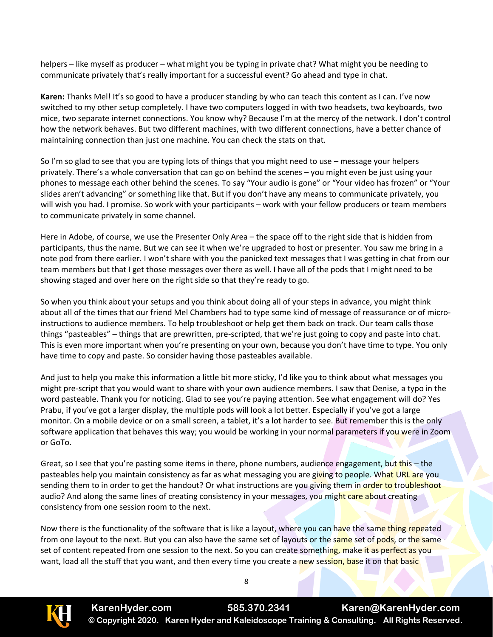helpers – like myself as producer – what might you be typing in private chat? What might you be needing to communicate privately that's really important for a successful event? Go ahead and type in chat.

**Karen:** Thanks Mel! It's so good to have a producer standing by who can teach this content as I can. I've now switched to my other setup completely. I have two computers logged in with two headsets, two keyboards, two mice, two separate internet connections. You know why? Because I'm at the mercy of the network. I don't control how the network behaves. But two different machines, with two different connections, have a better chance of maintaining connection than just one machine. You can check the stats on that.

So I'm so glad to see that you are typing lots of things that you might need to use – message your helpers privately. There's a whole conversation that can go on behind the scenes – you might even be just using your phones to message each other behind the scenes. To say "Your audio is gone" or "Your video has frozen" or "Your slides aren't advancing" or something like that. But if you don't have any means to communicate privately, you will wish you had. I promise. So work with your participants – work with your fellow producers or team members to communicate privately in some channel.

Here in Adobe, of course, we use the Presenter Only Area – the space off to the right side that is hidden from participants, thus the name. But we can see it when we're upgraded to host or presenter. You saw me bring in a note pod from there earlier. I won't share with you the panicked text messages that I was getting in chat from our team members but that I get those messages over there as well. I have all of the pods that I might need to be showing staged and over here on the right side so that they're ready to go.

So when you think about your setups and you think about doing all of your steps in advance, you might think about all of the times that our friend Mel Chambers had to type some kind of message of reassurance or of microinstructions to audience members. To help troubleshoot or help get them back on track. Our team calls those things "pasteables" – things that are prewritten, pre-scripted, that we're just going to copy and paste into chat. This is even more important when you're presenting on your own, because you don't have time to type. You only have time to copy and paste. So consider having those pasteables available.

And just to help you make this information a little bit more sticky, I'd like you to think about what messages you might pre-script that you would want to share with your own audience members. I saw that Denise, a typo in the word pasteable. Thank you for noticing. Glad to see you're paying attention. See what engagement will do? Yes Prabu, if you've got a larger display, the multiple pods will look a lot better. Especially if you've got a large monitor. On a mobile device or on a small screen, a tablet, it's a lot harder to see. But remember this is the only software application that behaves this way; you would be working in your normal parameters if you were in Zoom or GoTo.

Great, so I see that you're pasting some items in there, phone numbers, audience engagement, but this – the pasteables help you maintain consistency as far as what messaging you are giving to people. What URL are you sending them to in order to get the handout? Or what instructions are you giving them in order to troubleshoot audio? And along the same lines of creating consistency in your messages, you might care about creating consistency from one session room to the next.

Now there is the functionality of the software that is like a layout, where you can have the same thing repeated from one layout to the next. But you can also have the same set of layouts or the same set of pods, or the same set of content repeated from one session to the next. So you can create something, make it as perfect as you want, load all the stuff that you want, and then every time you create a new session, base it on that basic

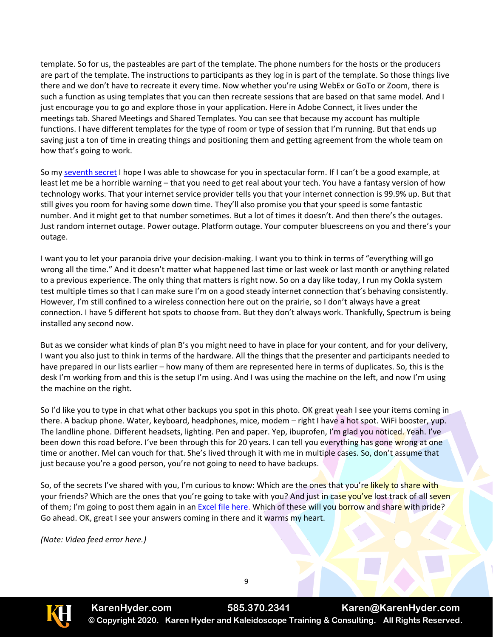template. So for us, the pasteables are part of the template. The phone numbers for the hosts or the producers are part of the template. The instructions to participants as they log in is part of the template. So those things live there and we don't have to recreate it every time. Now whether you're using WebEx or GoTo or Zoom, there is such a function as using templates that you can then recreate sessions that are based on that same model. And I just encourage you to go and explore those in your application. Here in Adobe Connect, it lives under the meetings tab. Shared Meetings and Shared Templates. You can see that because my account has multiple functions. I have different templates for the type of room or type of session that I'm running. But that ends up saving just a ton of time in creating things and positioning them and getting agreement from the whole team on how that's going to work.

So my [seventh secret](file:///C:/CC%20from%20HP/Ericson%20Bus%20Comm/Clients%20Current/Kaleidoscope/Transcripts/Hyder%20Secrets%2007.07.2020_handout.pdf) I hope I was able to showcase for you in spectacular form. If I can't be a good example, at least let me be a horrible warning – that you need to get real about your tech. You have a fantasy version of how technology works. That your internet service provider tells you that your internet connection is 99.9% up. But that still gives you room for having some down time. They'll also promise you that your speed is some fantastic number. And it might get to that number sometimes. But a lot of times it doesn't. And then there's the outages. Just random internet outage. Power outage. Platform outage. Your computer bluescreens on you and there's your outage.

I want you to let your paranoia drive your decision-making. I want you to think in terms of "everything will go wrong all the time." And it doesn't matter what happened last time or last week or last month or anything related to a previous experience. The only thing that matters is right now. So on a day like today, I run my Ookla system test multiple times so that I can make sure I'm on a good steady internet connection that's behaving consistently. However, I'm still confined to a wireless connection here out on the prairie, so I don't always have a great connection. I have 5 different hot spots to choose from. But they don't always work. Thankfully, Spectrum is being installed any second now.

But as we consider what kinds of plan B's you might need to have in place for your content, and for your delivery, I want you also just to think in terms of the hardware. All the things that the presenter and participants needed to have prepared in our lists earlier – how many of them are represented here in terms of duplicates. So, this is the desk I'm working from and this is the setup I'm using. And I was using the machine on the left, and now I'm using the machine on the right.

So I'd like you to type in chat what other backups you spot in this photo. OK great yeah I see your items coming in there. A backup phone. Water, keyboard, headphones, mice, modem – right I have a hot spot. WiFi booster, yup. The landline phone. Different headsets, lighting. Pen and paper. Yep, ibuprofen, I'm glad you noticed. Yeah. I've been down this road before. I've been through this for 20 years. I can tell you everything has gone wrong at one time or another. Mel can vouch for that. She's lived through it with me in multiple cases. So, don't assume that just because you're a good person, you're not going to need to have backups.

So, of the secrets I've shared with you, I'm curious to know: Which are the ones that you're likely to share with your friends? Which are the ones that you're going to take with you? And just in case you've lost track of all seven of them; I'm going to post them again in an [Excel](file:///C:/CC%20from%20HP/Ericson%20Bus%20Comm/Clients%20Current/Kaleidoscope/Transcripts/Hyder%20Secrets%20-Checklists%20and%20resources.xlsx) file here. Which of these will you borrow and share with pride? Go ahead. OK, great I see your answers coming in there and it warms my heart.

*(Note: Video feed error here.)*



**KarenHyder.com 585.370.2341 Karen@KarenHyder.com © Copyright 2020. Karen Hyder and Kaleidoscope Training & Consulting. All Rights Reserved.**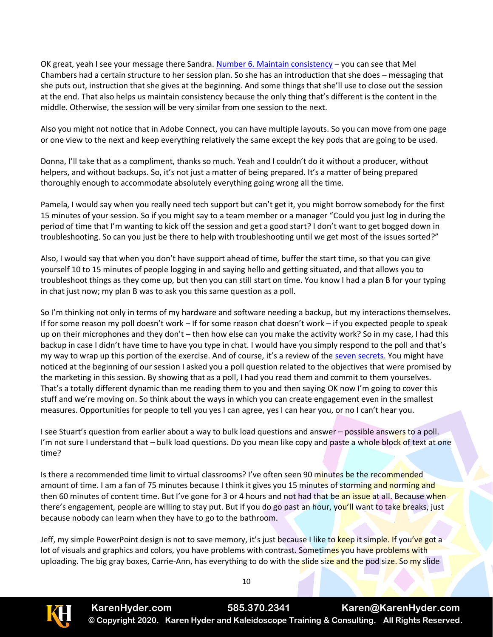OK great, yeah I see your message there Sandra[. Number 6. Maintain consistency](file:///C:/CC%20from%20HP/Ericson%20Bus%20Comm/Clients%20Current/Kaleidoscope/Transcripts/Hyder%20Secrets%2007.07.2020_handout.pdf) - you can see that Mel Chambers had a certain structure to her session plan. So she has an introduction that she does – messaging that she puts out, instruction that she gives at the beginning. And some things that she'll use to close out the session at the end. That also helps us maintain consistency because the only thing that's different is the content in the middle. Otherwise, the session will be very similar from one session to the next.

Also you might not notice that in Adobe Connect, you can have multiple layouts. So you can move from one page or one view to the next and keep everything relatively the same except the key pods that are going to be used.

Donna, I'll take that as a compliment, thanks so much. Yeah and I couldn't do it without a producer, without helpers, and without backups. So, it's not just a matter of being prepared. It's a matter of being prepared thoroughly enough to accommodate absolutely everything going wrong all the time.

Pamela, I would say when you really need tech support but can't get it, you might borrow somebody for the first 15 minutes of your session. So if you might say to a team member or a manager "Could you just log in during the period of time that I'm wanting to kick off the session and get a good start? I don't want to get bogged down in troubleshooting. So can you just be there to help with troubleshooting until we get most of the issues sorted?"

Also, I would say that when you don't have support ahead of time, buffer the start time, so that you can give yourself 10 to 15 minutes of people logging in and saying hello and getting situated, and that allows you to troubleshoot things as they come up, but then you can still start on time. You know I had a plan B for your typing in chat just now; my plan B was to ask you this same question as a poll.

So I'm thinking not only in terms of my hardware and software needing a backup, but my interactions themselves. If for some reason my poll doesn't work – If for some reason chat doesn't work – if you expected people to speak up on their microphones and they don't – then how else can you make the activity work? So in my case, I had this backup in case I didn't have time to have you type in chat. I would have you simply respond to the poll and that's my way to wrap up this portion of the exercise. And of course, it's a review of the [seven secrets.](file:///C:/CC%20from%20HP/Ericson%20Bus%20Comm/Clients%20Current/Kaleidoscope/Transcripts/Hyder%20Secrets%2007.07.2020_handout.pdf) You might have noticed at the beginning of our session I asked you a poll question related to the objectives that were promised by the marketing in this session. By showing that as a poll, I had you read them and commit to them yourselves. That's a totally different dynamic than me reading them to you and then saying OK now I'm going to cover this stuff and we're moving on. So think about the ways in which you can create engagement even in the smallest measures. Opportunities for people to tell you yes I can agree, yes I can hear you, or no I can't hear you.

I see Stuart's question from earlier about a way to bulk load questions and answer – possible answers to a poll. I'm not sure I understand that – bulk load questions. Do you mean like copy and paste a whole block of text at one time?

Is there a recommended time limit to virtual classrooms? I've often seen 90 minutes be the recommended amount of time. I am a fan of 75 minutes because I think it gives you 15 minutes of storming and norming and then 60 minutes of content time. But I've gone for 3 or 4 hours and not had that be an issue at all. Because when there's engagement, people are willing to stay put. But if you do go past an hour, you'll want to take breaks, just because nobody can learn when they have to go to the bathroom.

Jeff, my simple PowerPoint design is not to save memory, it's just because I like to keep it simple. If you've got a lot of visuals and graphics and colors, you have problems with contrast. Sometimes you have problems with uploading. The big gray boxes, Carrie-Ann, has everything to do with the slide size and the pod size. So my slide